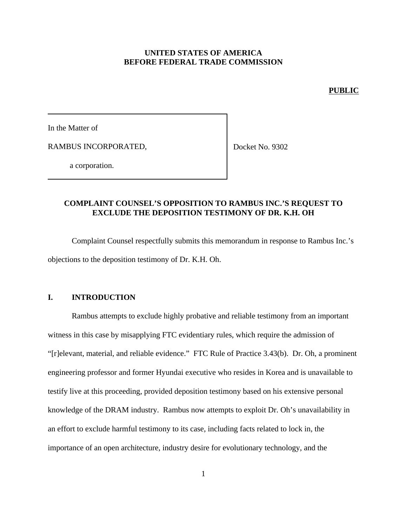### **UNITED STATES OF AMERICA BEFORE FEDERAL TRADE COMMISSION**

#### **PUBLIC**

In the Matter of

RAMBUS INCORPORATED,

Docket No. 9302

a corporation.

# **COMPLAINT COUNSEL'S OPPOSITION TO RAMBUS INC.'S REQUEST TO EXCLUDE THE DEPOSITION TESTIMONY OF DR. K.H. OH**

Complaint Counsel respectfully submits this memorandum in response to Rambus Inc.'s objections to the deposition testimony of Dr. K.H. Oh.

### **I. INTRODUCTION**

Rambus attempts to exclude highly probative and reliable testimony from an important witness in this case by misapplying FTC evidentiary rules, which require the admission of "[r]elevant, material, and reliable evidence." FTC Rule of Practice 3.43(b). Dr. Oh, a prominent engineering professor and former Hyundai executive who resides in Korea and is unavailable to testify live at this proceeding, provided deposition testimony based on his extensive personal knowledge of the DRAM industry. Rambus now attempts to exploit Dr. Oh's unavailability in an effort to exclude harmful testimony to its case, including facts related to lock in, the importance of an open architecture, industry desire for evolutionary technology, and the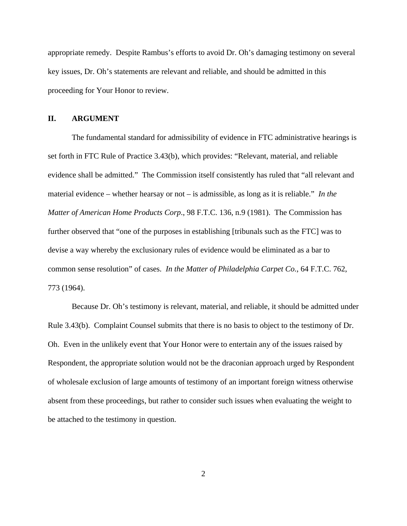appropriate remedy. Despite Rambus's efforts to avoid Dr. Oh's damaging testimony on several key issues, Dr. Oh's statements are relevant and reliable, and should be admitted in this proceeding for Your Honor to review.

#### **II. ARGUMENT**

The fundamental standard for admissibility of evidence in FTC administrative hearings is set forth in FTC Rule of Practice 3.43(b), which provides: "Relevant, material, and reliable evidence shall be admitted." The Commission itself consistently has ruled that "all relevant and material evidence – whether hearsay or not – is admissible, as long as it is reliable." *In the Matter of American Home Products Corp*., 98 F.T.C. 136, n.9 (1981). The Commission has further observed that "one of the purposes in establishing [tribunals such as the FTC] was to devise a way whereby the exclusionary rules of evidence would be eliminated as a bar to common sense resolution" of cases. *In the Matter of Philadelphia Carpet Co.*, 64 F.T.C. 762, 773 (1964).

Because Dr. Oh's testimony is relevant, material, and reliable, it should be admitted under Rule 3.43(b). Complaint Counsel submits that there is no basis to object to the testimony of Dr. Oh. Even in the unlikely event that Your Honor were to entertain any of the issues raised by Respondent, the appropriate solution would not be the draconian approach urged by Respondent of wholesale exclusion of large amounts of testimony of an important foreign witness otherwise absent from these proceedings, but rather to consider such issues when evaluating the weight to be attached to the testimony in question.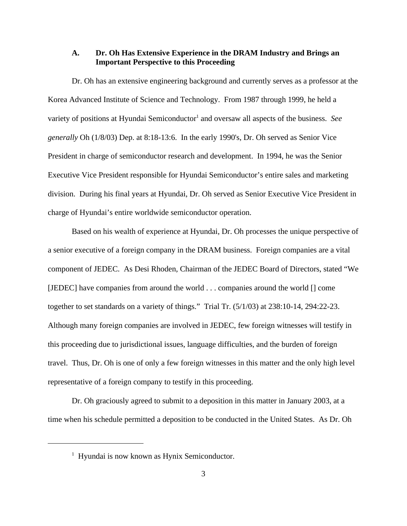### **A. Dr. Oh Has Extensive Experience in the DRAM Industry and Brings an Important Perspective to this Proceeding**

Dr. Oh has an extensive engineering background and currently serves as a professor at the Korea Advanced Institute of Science and Technology. From 1987 through 1999, he held a variety of positions at Hyundai Semiconductor<sup>1</sup> and oversaw all aspects of the business. See *generally* Oh (1/8/03) Dep. at 8:18-13:6. In the early 1990's, Dr. Oh served as Senior Vice President in charge of semiconductor research and development. In 1994, he was the Senior Executive Vice President responsible for Hyundai Semiconductor's entire sales and marketing division. During his final years at Hyundai, Dr. Oh served as Senior Executive Vice President in charge of Hyundai's entire worldwide semiconductor operation.

Based on his wealth of experience at Hyundai, Dr. Oh processes the unique perspective of a senior executive of a foreign company in the DRAM business. Foreign companies are a vital component of JEDEC. As Desi Rhoden, Chairman of the JEDEC Board of Directors, stated "We [JEDEC] have companies from around the world . . . companies around the world [] come together to set standards on a variety of things." Trial Tr. (5/1/03) at 238:10-14, 294:22-23. Although many foreign companies are involved in JEDEC, few foreign witnesses will testify in this proceeding due to jurisdictional issues, language difficulties, and the burden of foreign travel. Thus, Dr. Oh is one of only a few foreign witnesses in this matter and the only high level representative of a foreign company to testify in this proceeding.

Dr. Oh graciously agreed to submit to a deposition in this matter in January 2003, at a time when his schedule permitted a deposition to be conducted in the United States. As Dr. Oh

<sup>&</sup>lt;sup>1</sup> Hyundai is now known as Hynix Semiconductor.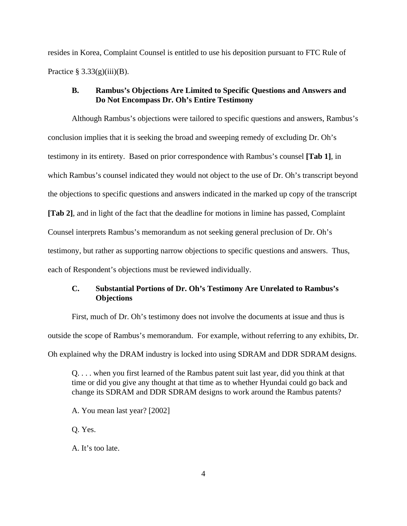resides in Korea, Complaint Counsel is entitled to use his deposition pursuant to FTC Rule of Practice  $\S 3.33(g)(iii)(B)$ .

## **B. Rambus's Objections Are Limited to Specific Questions and Answers and Do Not Encompass Dr. Oh's Entire Testimony**

Although Rambus's objections were tailored to specific questions and answers, Rambus's conclusion implies that it is seeking the broad and sweeping remedy of excluding Dr. Oh's testimony in its entirety. Based on prior correspondence with Rambus's counsel **[Tab 1]**, in which Rambus's counsel indicated they would not object to the use of Dr. Oh's transcript beyond the objections to specific questions and answers indicated in the marked up copy of the transcript **[Tab 2]**, and in light of the fact that the deadline for motions in limine has passed, Complaint Counsel interprets Rambus's memorandum as not seeking general preclusion of Dr. Oh's testimony, but rather as supporting narrow objections to specific questions and answers. Thus, each of Respondent's objections must be reviewed individually.

# **C. Substantial Portions of Dr. Oh's Testimony Are Unrelated to Rambus's Objections**

First, much of Dr. Oh's testimony does not involve the documents at issue and thus is outside the scope of Rambus's memorandum. For example, without referring to any exhibits, Dr. Oh explained why the DRAM industry is locked into using SDRAM and DDR SDRAM designs.

Q. . . . when you first learned of the Rambus patent suit last year, did you think at that time or did you give any thought at that time as to whether Hyundai could go back and change its SDRAM and DDR SDRAM designs to work around the Rambus patents?

A. You mean last year? [2002]

Q. Yes.

A. It's too late.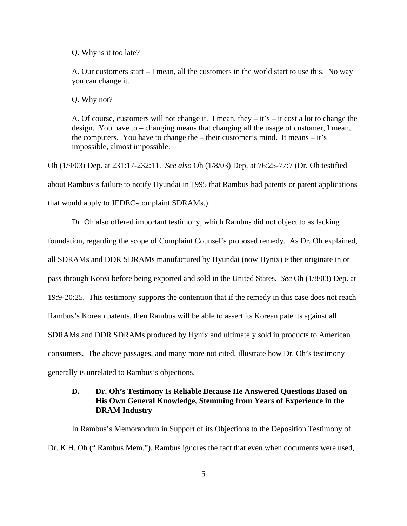Q. Why is it too late?

A. Our customers start – I mean, all the customers in the world start to use this. No way you can change it.

Q. Why not?

A. Of course, customers will not change it. I mean, they  $-i$  is  $-i$  cost a lot to change the design. You have to – changing means that changing all the usage of customer, I mean, the computers. You have to change the  $-$  their customer's mind. It means  $-$  it's impossible, almost impossible.

Oh (1/9/03) Dep. at 231:17-232:11. *See also* Oh (1/8/03) Dep. at 76:25-77:7 (Dr. Oh testified about Rambus's failure to notify Hyundai in 1995 that Rambus had patents or patent applications that would apply to JEDEC-complaint SDRAMs.).

Dr. Oh also offered important testimony, which Rambus did not object to as lacking foundation, regarding the scope of Complaint Counsel's proposed remedy. As Dr. Oh explained, all SDRAMs and DDR SDRAMs manufactured by Hyundai (now Hynix) either originate in or pass through Korea before being exported and sold in the United States. *See* Oh (1/8/03) Dep. at 19:9-20:25. This testimony supports the contention that if the remedy in this case does not reach Rambus's Korean patents, then Rambus will be able to assert its Korean patents against all SDRAMs and DDR SDRAMs produced by Hynix and ultimately sold in products to American consumers. The above passages, and many more not cited, illustrate how Dr. Oh's testimony generally is unrelated to Rambus's objections.

# **D. Dr. Oh's Testimony Is Reliable Because He Answered Questions Based on His Own General Knowledge, Stemming from Years of Experience in the DRAM Industry**

In Rambus's Memorandum in Support of its Objections to the Deposition Testimony of Dr. K.H. Oh (" Rambus Mem."), Rambus ignores the fact that even when documents were used,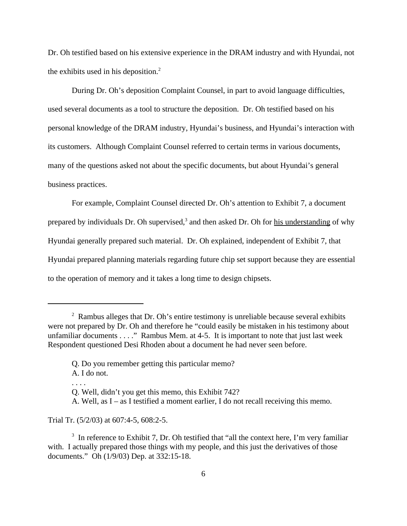Dr. Oh testified based on his extensive experience in the DRAM industry and with Hyundai, not the exhibits used in his deposition. $<sup>2</sup>$ </sup>

During Dr. Oh's deposition Complaint Counsel, in part to avoid language difficulties, used several documents as a tool to structure the deposition. Dr. Oh testified based on his personal knowledge of the DRAM industry, Hyundai's business, and Hyundai's interaction with its customers. Although Complaint Counsel referred to certain terms in various documents, many of the questions asked not about the specific documents, but about Hyundai's general business practices.

For example, Complaint Counsel directed Dr. Oh's attention to Exhibit 7, a document prepared by individuals Dr. Oh supervised,<sup>3</sup> and then asked Dr. Oh for his understanding of why Hyundai generally prepared such material. Dr. Oh explained, independent of Exhibit 7, that Hyundai prepared planning materials regarding future chip set support because they are essential to the operation of memory and it takes a long time to design chipsets.

Trial Tr. (5/2/03) at 607:4-5, 608:2-5.

 $2$  Rambus alleges that Dr. Oh's entire testimony is unreliable because several exhibits were not prepared by Dr. Oh and therefore he "could easily be mistaken in his testimony about unfamiliar documents . . . ." Rambus Mem. at 4-5. It is important to note that just last week Respondent questioned Desi Rhoden about a document he had never seen before.

Q. Do you remember getting this particular memo?

A. I do not.

Q. Well, didn't you get this memo, this Exhibit 742?

A. Well, as I – as I testified a moment earlier, I do not recall receiving this memo.

 $3\,$  In reference to Exhibit 7, Dr. Oh testified that "all the context here, I'm very familiar with. I actually prepared those things with my people, and this just the derivatives of those documents." Oh (1/9/03) Dep. at 332:15-18.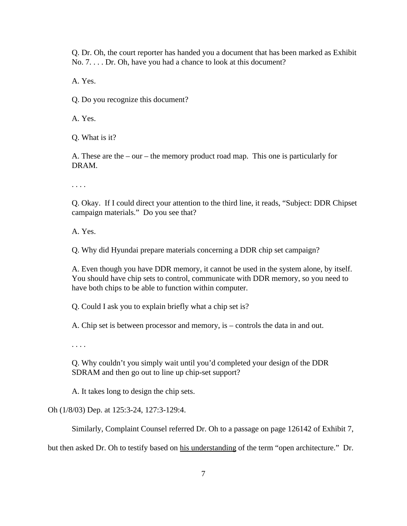Q. Dr. Oh, the court reporter has handed you a document that has been marked as Exhibit No. 7. . . . Dr. Oh, have you had a chance to look at this document?

A. Yes.

Q. Do you recognize this document?

A. Yes.

Q. What is it?

A. These are the – our – the memory product road map. This one is particularly for DRAM.

. . . .

Q. Okay. If I could direct your attention to the third line, it reads, "Subject: DDR Chipset campaign materials." Do you see that?

A. Yes.

Q. Why did Hyundai prepare materials concerning a DDR chip set campaign?

A. Even though you have DDR memory, it cannot be used in the system alone, by itself. You should have chip sets to control, communicate with DDR memory, so you need to have both chips to be able to function within computer.

Q. Could I ask you to explain briefly what a chip set is?

A. Chip set is between processor and memory, is – controls the data in and out.

. . . .

Q. Why couldn't you simply wait until you'd completed your design of the DDR SDRAM and then go out to line up chip-set support?

A. It takes long to design the chip sets.

Oh (1/8/03) Dep. at 125:3-24, 127:3-129:4.

Similarly, Complaint Counsel referred Dr. Oh to a passage on page 126142 of Exhibit 7,

but then asked Dr. Oh to testify based on his understanding of the term "open architecture." Dr.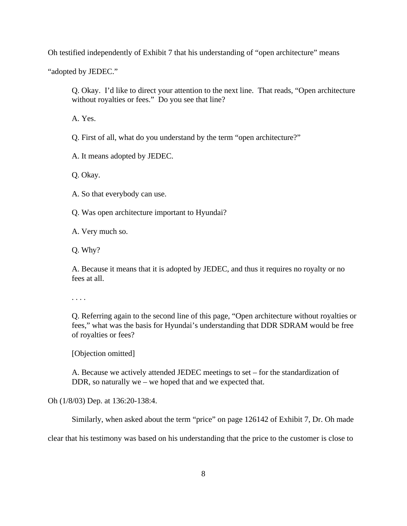Oh testified independently of Exhibit 7 that his understanding of "open architecture" means

"adopted by JEDEC."

Q. Okay. I'd like to direct your attention to the next line. That reads, "Open architecture without royalties or fees." Do you see that line?

A. Yes.

Q. First of all, what do you understand by the term "open architecture?"

A. It means adopted by JEDEC.

Q. Okay.

A. So that everybody can use.

Q. Was open architecture important to Hyundai?

A. Very much so.

Q. Why?

A. Because it means that it is adopted by JEDEC, and thus it requires no royalty or no fees at all.

. . . .

Q. Referring again to the second line of this page, "Open architecture without royalties or fees," what was the basis for Hyundai's understanding that DDR SDRAM would be free of royalties or fees?

[Objection omitted]

A. Because we actively attended JEDEC meetings to set – for the standardization of DDR, so naturally we – we hoped that and we expected that.

Oh (1/8/03) Dep. at 136:20-138:4.

Similarly, when asked about the term "price" on page 126142 of Exhibit 7, Dr. Oh made

clear that his testimony was based on his understanding that the price to the customer is close to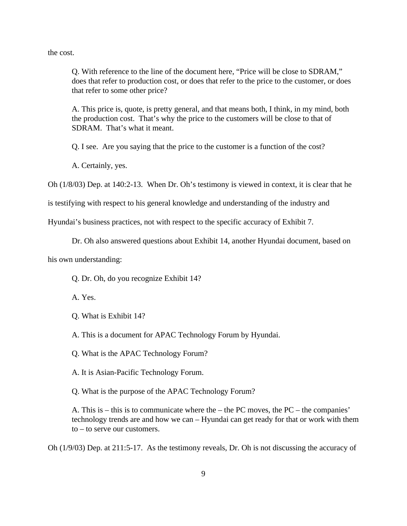the cost.

Q. With reference to the line of the document here, "Price will be close to SDRAM," does that refer to production cost, or does that refer to the price to the customer, or does that refer to some other price?

A. This price is, quote, is pretty general, and that means both, I think, in my mind, both the production cost. That's why the price to the customers will be close to that of SDRAM. That's what it meant.

Q. I see. Are you saying that the price to the customer is a function of the cost?

A. Certainly, yes.

Oh (1/8/03) Dep. at 140:2-13. When Dr. Oh's testimony is viewed in context, it is clear that he

is testifying with respect to his general knowledge and understanding of the industry and

Hyundai's business practices, not with respect to the specific accuracy of Exhibit 7.

Dr. Oh also answered questions about Exhibit 14, another Hyundai document, based on

his own understanding:

Q. Dr. Oh, do you recognize Exhibit 14?

A. Yes.

Q. What is Exhibit 14?

A. This is a document for APAC Technology Forum by Hyundai.

Q. What is the APAC Technology Forum?

A. It is Asian-Pacific Technology Forum.

Q. What is the purpose of the APAC Technology Forum?

A. This is – this is to communicate where the – the PC moves, the PC – the companies' technology trends are and how we can – Hyundai can get ready for that or work with them to – to serve our customers.

Oh (1/9/03) Dep. at 211:5-17. As the testimony reveals, Dr. Oh is not discussing the accuracy of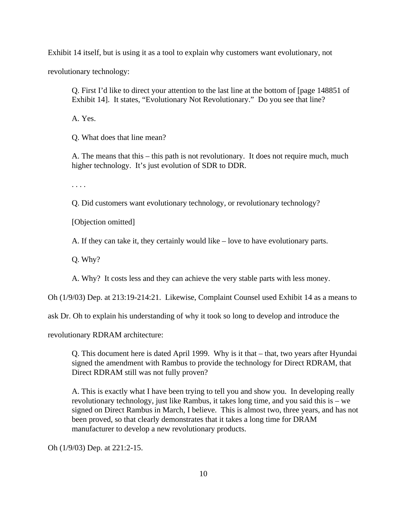Exhibit 14 itself, but is using it as a tool to explain why customers want evolutionary, not

revolutionary technology:

Q. First I'd like to direct your attention to the last line at the bottom of [page 148851 of Exhibit 14]. It states, "Evolutionary Not Revolutionary." Do you see that line?

A. Yes.

Q. What does that line mean?

A. The means that this – this path is not revolutionary. It does not require much, much higher technology. It's just evolution of SDR to DDR.

. . . .

Q. Did customers want evolutionary technology, or revolutionary technology?

[Objection omitted]

A. If they can take it, they certainly would like – love to have evolutionary parts.

Q. Why?

A. Why? It costs less and they can achieve the very stable parts with less money.

Oh (1/9/03) Dep. at 213:19-214:21. Likewise, Complaint Counsel used Exhibit 14 as a means to

ask Dr. Oh to explain his understanding of why it took so long to develop and introduce the

revolutionary RDRAM architecture:

Q. This document here is dated April 1999. Why is it that – that, two years after Hyundai signed the amendment with Rambus to provide the technology for Direct RDRAM, that Direct RDRAM still was not fully proven?

A. This is exactly what I have been trying to tell you and show you. In developing really revolutionary technology, just like Rambus, it takes long time, and you said this is – we signed on Direct Rambus in March, I believe. This is almost two, three years, and has not been proved, so that clearly demonstrates that it takes a long time for DRAM manufacturer to develop a new revolutionary products.

Oh (1/9/03) Dep. at 221:2-15.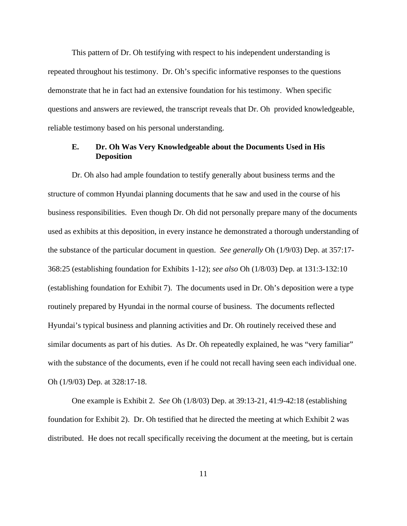This pattern of Dr. Oh testifying with respect to his independent understanding is repeated throughout his testimony. Dr. Oh's specific informative responses to the questions demonstrate that he in fact had an extensive foundation for his testimony. When specific questions and answers are reviewed, the transcript reveals that Dr. Oh provided knowledgeable, reliable testimony based on his personal understanding.

# **E. Dr. Oh Was Very Knowledgeable about the Documents Used in His Deposition**

Dr. Oh also had ample foundation to testify generally about business terms and the structure of common Hyundai planning documents that he saw and used in the course of his business responsibilities. Even though Dr. Oh did not personally prepare many of the documents used as exhibits at this deposition, in every instance he demonstrated a thorough understanding of the substance of the particular document in question. *See generally* Oh (1/9/03) Dep. at 357:17- 368:25 (establishing foundation for Exhibits 1-12); *see also* Oh (1/8/03) Dep. at 131:3-132:10 (establishing foundation for Exhibit 7). The documents used in Dr. Oh's deposition were a type routinely prepared by Hyundai in the normal course of business. The documents reflected Hyundai's typical business and planning activities and Dr. Oh routinely received these and similar documents as part of his duties. As Dr. Oh repeatedly explained, he was "very familiar" with the substance of the documents, even if he could not recall having seen each individual one. Oh (1/9/03) Dep. at 328:17-18.

One example is Exhibit 2. *See* Oh (1/8/03) Dep. at 39:13-21, 41:9-42:18 (establishing foundation for Exhibit 2). Dr. Oh testified that he directed the meeting at which Exhibit 2 was distributed. He does not recall specifically receiving the document at the meeting, but is certain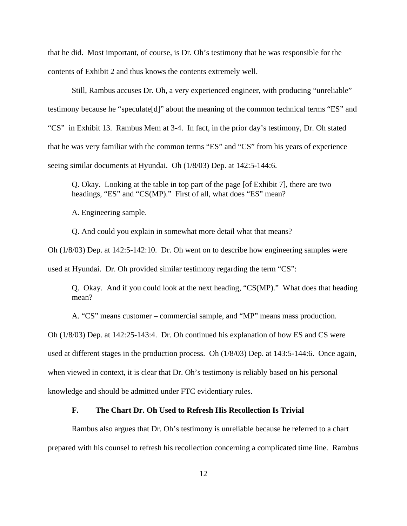that he did. Most important, of course, is Dr. Oh's testimony that he was responsible for the contents of Exhibit 2 and thus knows the contents extremely well.

Still, Rambus accuses Dr. Oh, a very experienced engineer, with producing "unreliable" testimony because he "speculate[d]" about the meaning of the common technical terms "ES" and "CS" in Exhibit 13. Rambus Mem at 3-4. In fact, in the prior day's testimony, Dr. Oh stated that he was very familiar with the common terms "ES" and "CS" from his years of experience seeing similar documents at Hyundai. Oh (1/8/03) Dep. at 142:5-144:6.

Q. Okay. Looking at the table in top part of the page [of Exhibit 7], there are two headings, "ES" and "CS(MP)." First of all, what does "ES" mean?

A. Engineering sample.

Q. And could you explain in somewhat more detail what that means?

Oh (1/8/03) Dep. at 142:5-142:10. Dr. Oh went on to describe how engineering samples were used at Hyundai. Dr. Oh provided similar testimony regarding the term "CS":

Q. Okay. And if you could look at the next heading, "CS(MP)." What does that heading mean?

A. "CS" means customer – commercial sample, and "MP" means mass production.

Oh (1/8/03) Dep. at 142:25-143:4. Dr. Oh continued his explanation of how ES and CS were used at different stages in the production process. Oh (1/8/03) Dep. at 143:5-144:6. Once again, when viewed in context, it is clear that Dr. Oh's testimony is reliably based on his personal knowledge and should be admitted under FTC evidentiary rules.

# **F. The Chart Dr. Oh Used to Refresh His Recollection Is Trivial**

Rambus also argues that Dr. Oh's testimony is unreliable because he referred to a chart prepared with his counsel to refresh his recollection concerning a complicated time line. Rambus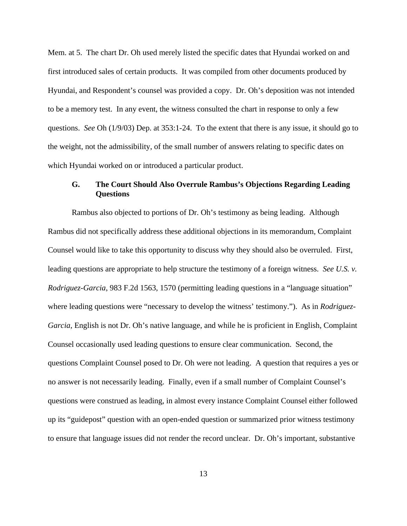Mem. at 5. The chart Dr. Oh used merely listed the specific dates that Hyundai worked on and first introduced sales of certain products. It was compiled from other documents produced by Hyundai, and Respondent's counsel was provided a copy. Dr. Oh's deposition was not intended to be a memory test. In any event, the witness consulted the chart in response to only a few questions. *See* Oh (1/9/03) Dep. at 353:1-24. To the extent that there is any issue, it should go to the weight, not the admissibility, of the small number of answers relating to specific dates on which Hyundai worked on or introduced a particular product.

# **G. The Court Should Also Overrule Rambus's Objections Regarding Leading Questions**

Rambus also objected to portions of Dr. Oh's testimony as being leading. Although Rambus did not specifically address these additional objections in its memorandum, Complaint Counsel would like to take this opportunity to discuss why they should also be overruled. First, leading questions are appropriate to help structure the testimony of a foreign witness. *See U.S. v. Rodriguez-Garcia*, 983 F.2d 1563, 1570 (permitting leading questions in a "language situation" where leading questions were "necessary to develop the witness' testimony."). As in *Rodriguez-Garcia*, English is not Dr. Oh's native language, and while he is proficient in English, Complaint Counsel occasionally used leading questions to ensure clear communication. Second, the questions Complaint Counsel posed to Dr. Oh were not leading. A question that requires a yes or no answer is not necessarily leading. Finally, even if a small number of Complaint Counsel's questions were construed as leading, in almost every instance Complaint Counsel either followed up its "guidepost" question with an open-ended question or summarized prior witness testimony to ensure that language issues did not render the record unclear. Dr. Oh's important, substantive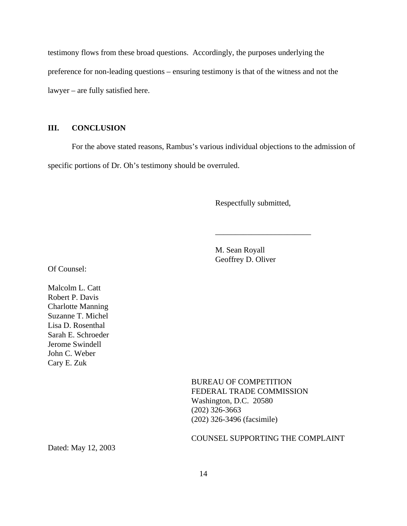testimony flows from these broad questions. Accordingly, the purposes underlying the preference for non-leading questions – ensuring testimony is that of the witness and not the lawyer – are fully satisfied here.

# **III. CONCLUSION**

For the above stated reasons, Rambus's various individual objections to the admission of specific portions of Dr. Oh's testimony should be overruled.

Respectfully submitted,

\_\_\_\_\_\_\_\_\_\_\_\_\_\_\_\_\_\_\_\_\_\_\_\_

M. Sean Royall Geoffrey D. Oliver

Of Counsel:

Malcolm L. Catt Robert P. Davis Charlotte Manning Suzanne T. Michel Lisa D. Rosenthal Sarah E. Schroeder Jerome Swindell John C. Weber Cary E. Zuk

> BUREAU OF COMPETITION FEDERAL TRADE COMMISSION Washington, D.C. 20580 (202) 326-3663 (202) 326-3496 (facsimile)

### COUNSEL SUPPORTING THE COMPLAINT

Dated: May 12, 2003